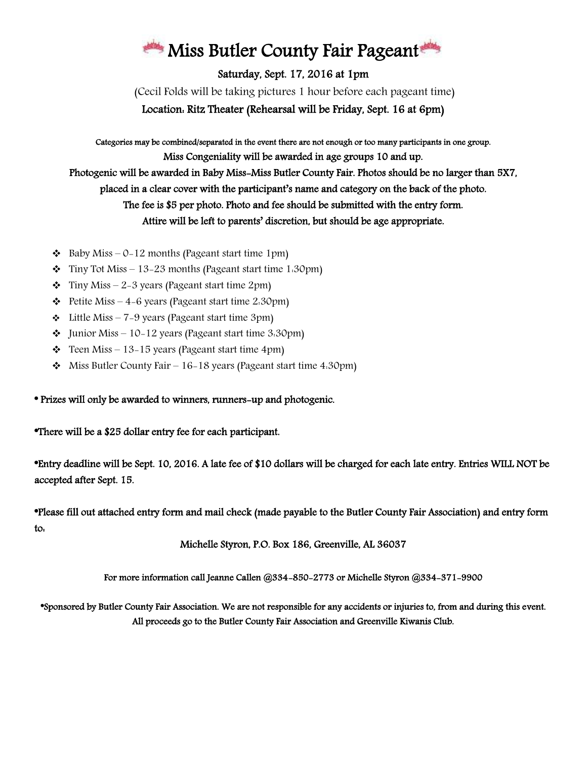## Miss Butler County Fair Pageant

Saturday, Sept. 17, 2016 at 1pm

(Cecil Folds will be taking pictures 1 hour before each pageant time) Location: Ritz Theater (Rehearsal will be Friday, Sept. 16 at 6pm)

Categories may be combined/separated in the event there are not enough or too many participants in one group. Miss Congeniality will be awarded in age groups 10 and up. Photogenic will be awarded in Baby Miss-Miss Butler County Fair. Photos should be no larger than 5X7, placed in a clear cover with the participant's name and category on the back of the photo. The fee is \$5 per photo. Photo and fee should be submitted with the entry form. Attire will be left to parents' discretion, but should be age appropriate.

- $\triangleleft$  Baby Miss 0-12 months (Pageant start time 1pm)
- $\div$  Tiny Tot Miss 13–23 months (Pageant start time 1.30pm)
- $\div$  Tiny Miss 2–3 years (Pageant start time 2pm)
- $\div$  Petite Miss 4–6 years (Pageant start time 2:30pm)
- $\div$  Little Miss 7-9 years (Pageant start time 3pm)
- $\bullet$  Junior Miss 10–12 years (Pageant start time 3.30pm)
- $\div$  Teen Miss 13–15 years (Pageant start time 4pm)
- $\bullet$  Miss Butler County Fair 16-18 years (Pageant start time 4:30pm)

## \* Prizes will only be awarded to winners, runners-up and photogenic.

\*There will be a \$25 dollar entry fee for each participant.

\*Entry deadline will be Sept. 10, 2016. A late fee of \$10 dollars will be charged for each late entry. Entries WILL NOT be accepted after Sept. 15.

\*Please fill out attached entry form and mail check (made payable to the Butler County Fair Association) and entry form to:

Michelle Styron, P.O. Box 186, Greenville, AL 36037

For more information call Jeanne Callen @334-850-2773 or Michelle Styron @334-371-9900

\*Sponsored by Butler County Fair Association. We are not responsible for any accidents or injuries to, from and during this event. All proceeds go to the Butler County Fair Association and Greenville Kiwanis Club.